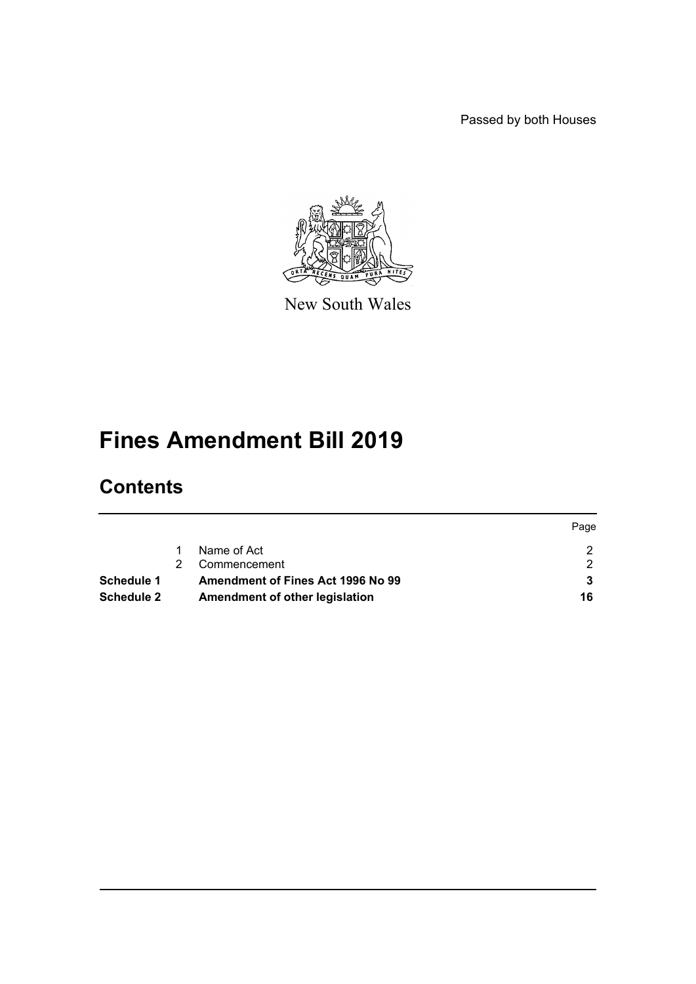Passed by both Houses



New South Wales

# **Fines Amendment Bill 2019**

# **Contents**

|                   |                                   | Page |
|-------------------|-----------------------------------|------|
|                   | Name of Act                       |      |
|                   | Commencement                      |      |
| <b>Schedule 1</b> | Amendment of Fines Act 1996 No 99 |      |
| <b>Schedule 2</b> | Amendment of other legislation    | 16   |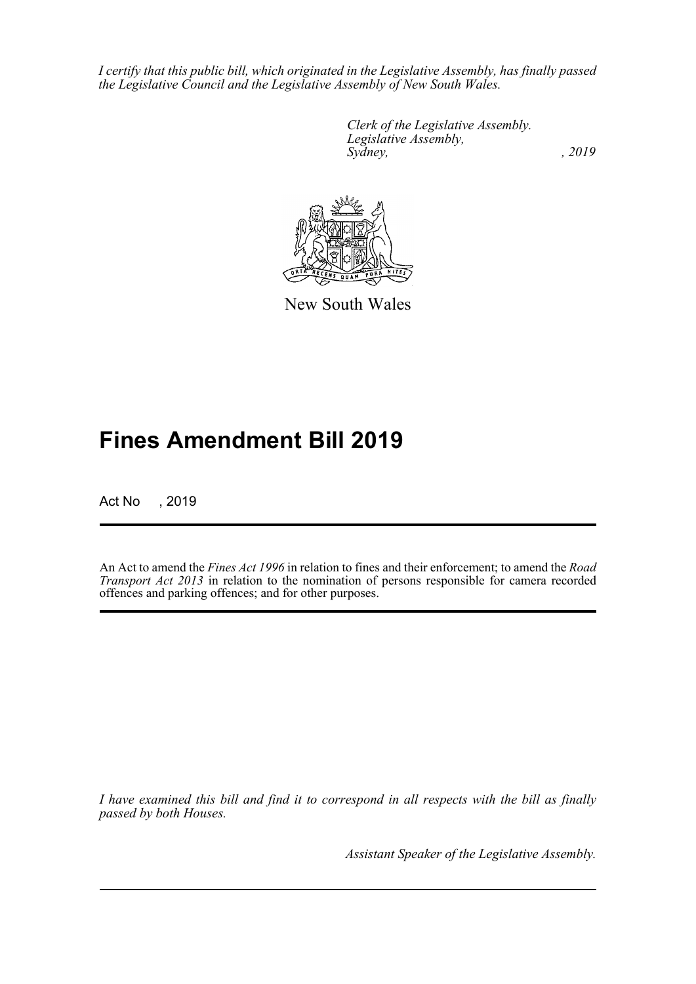*I certify that this public bill, which originated in the Legislative Assembly, has finally passed the Legislative Council and the Legislative Assembly of New South Wales.*

> *Clerk of the Legislative Assembly. Legislative Assembly, Sydney,* , 2019



New South Wales

# **Fines Amendment Bill 2019**

Act No , 2019

An Act to amend the *Fines Act 1996* in relation to fines and their enforcement; to amend the *Road Transport Act 2013* in relation to the nomination of persons responsible for camera recorded offences and parking offences; and for other purposes.

*I have examined this bill and find it to correspond in all respects with the bill as finally passed by both Houses.*

*Assistant Speaker of the Legislative Assembly.*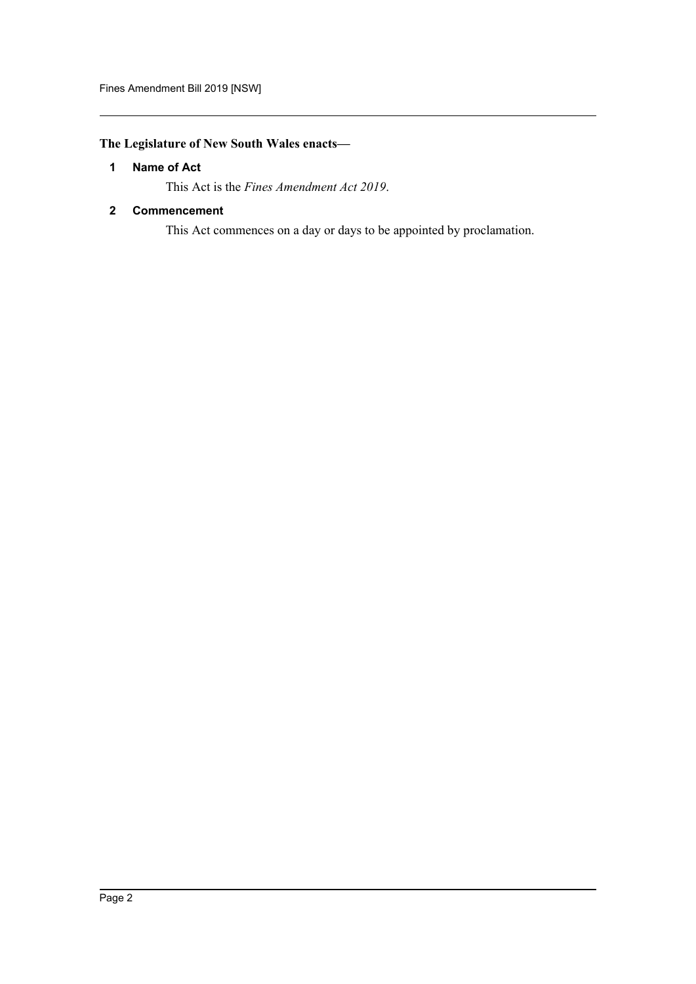# <span id="page-2-0"></span>**The Legislature of New South Wales enacts—**

# **1 Name of Act**

This Act is the *Fines Amendment Act 2019*.

## <span id="page-2-1"></span>**2 Commencement**

This Act commences on a day or days to be appointed by proclamation.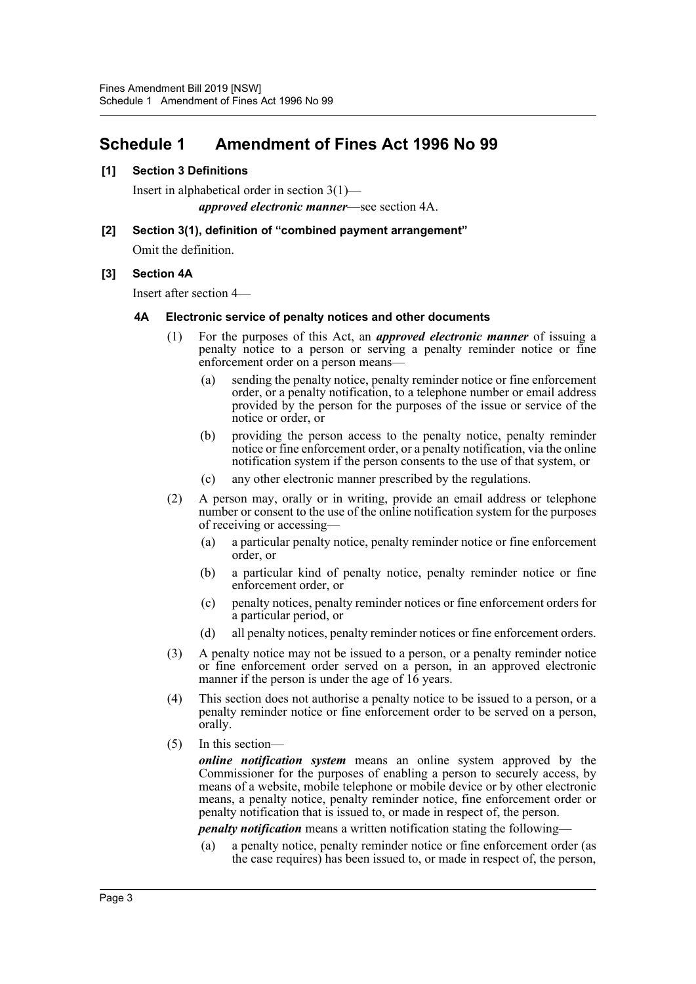# <span id="page-3-0"></span>**Schedule 1 Amendment of Fines Act 1996 No 99**

#### **[1] Section 3 Definitions**

Insert in alphabetical order in section 3(1) *approved electronic manner*—see section 4A.

**[2] Section 3(1), definition of "combined payment arrangement"** Omit the definition.

# **[3] Section 4A**

Insert after section 4—

#### **4A Electronic service of penalty notices and other documents**

- (1) For the purposes of this Act, an *approved electronic manner* of issuing a penalty notice to a person or serving a penalty reminder notice or fine enforcement order on a person means—
	- (a) sending the penalty notice, penalty reminder notice or fine enforcement order, or a penalty notification, to a telephone number or email address provided by the person for the purposes of the issue or service of the notice or order, or
	- (b) providing the person access to the penalty notice, penalty reminder notice or fine enforcement order, or a penalty notification, via the online notification system if the person consents to the use of that system, or
	- (c) any other electronic manner prescribed by the regulations.
- (2) A person may, orally or in writing, provide an email address or telephone number or consent to the use of the online notification system for the purposes of receiving or accessing—
	- (a) a particular penalty notice, penalty reminder notice or fine enforcement order, or
	- (b) a particular kind of penalty notice, penalty reminder notice or fine enforcement order, or
	- (c) penalty notices, penalty reminder notices or fine enforcement orders for a particular period, or
	- (d) all penalty notices, penalty reminder notices or fine enforcement orders.
- (3) A penalty notice may not be issued to a person, or a penalty reminder notice or fine enforcement order served on a person, in an approved electronic manner if the person is under the age of  $16$  years.
- (4) This section does not authorise a penalty notice to be issued to a person, or a penalty reminder notice or fine enforcement order to be served on a person, orally.
- (5) In this section—

*online notification system* means an online system approved by the Commissioner for the purposes of enabling a person to securely access, by means of a website, mobile telephone or mobile device or by other electronic means, a penalty notice, penalty reminder notice, fine enforcement order or penalty notification that is issued to, or made in respect of, the person.

*penalty notification* means a written notification stating the following—

(a) a penalty notice, penalty reminder notice or fine enforcement order (as the case requires) has been issued to, or made in respect of, the person,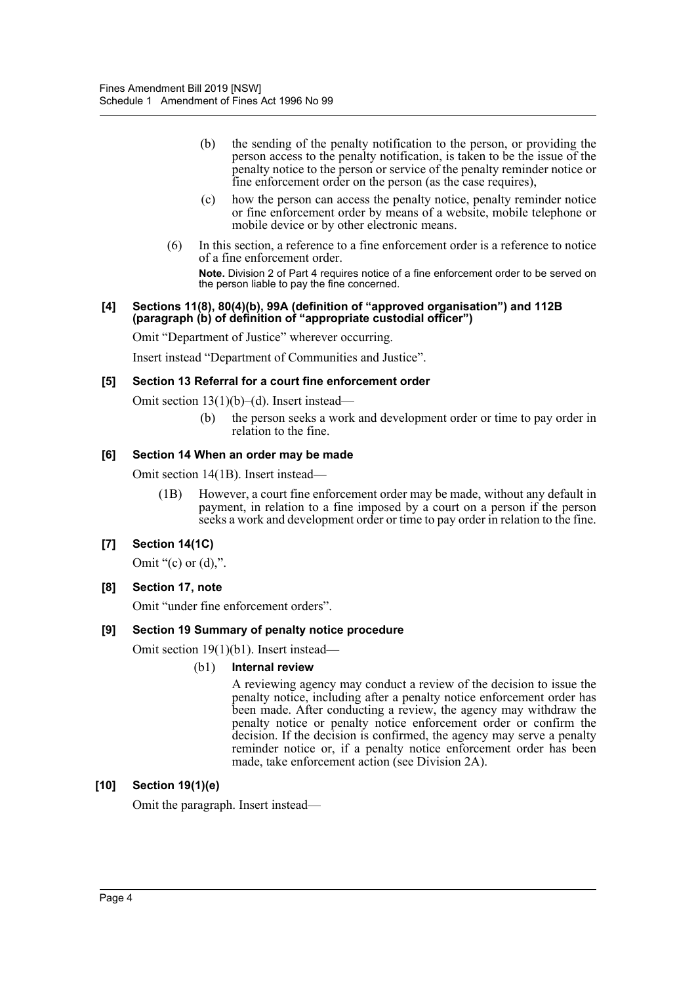- (b) the sending of the penalty notification to the person, or providing the person access to the penalty notification, is taken to be the issue of the penalty notice to the person or service of the penalty reminder notice or fine enforcement order on the person (as the case requires),
- (c) how the person can access the penalty notice, penalty reminder notice or fine enforcement order by means of a website, mobile telephone or mobile device or by other electronic means.
- (6) In this section, a reference to a fine enforcement order is a reference to notice of a fine enforcement order.

**Note.** Division 2 of Part 4 requires notice of a fine enforcement order to be served on the person liable to pay the fine concerned.

#### **[4] Sections 11(8), 80(4)(b), 99A (definition of "approved organisation") and 112B (paragraph (b) of definition of "appropriate custodial officer")**

Omit "Department of Justice" wherever occurring.

Insert instead "Department of Communities and Justice".

#### **[5] Section 13 Referral for a court fine enforcement order**

Omit section 13(1)(b)–(d). Insert instead—

(b) the person seeks a work and development order or time to pay order in relation to the fine.

#### **[6] Section 14 When an order may be made**

Omit section 14(1B). Insert instead—

(1B) However, a court fine enforcement order may be made, without any default in payment, in relation to a fine imposed by a court on a person if the person seeks a work and development order or time to pay order in relation to the fine.

#### **[7] Section 14(1C)**

Omit " $(c)$  or  $(d)$ ,".

#### **[8] Section 17, note**

Omit "under fine enforcement orders".

#### **[9] Section 19 Summary of penalty notice procedure**

Omit section 19(1)(b1). Insert instead—

#### (b1) **Internal review**

A reviewing agency may conduct a review of the decision to issue the penalty notice, including after a penalty notice enforcement order has been made. After conducting a review, the agency may withdraw the penalty notice or penalty notice enforcement order or confirm the decision. If the decision is confirmed, the agency may serve a penalty reminder notice or, if a penalty notice enforcement order has been made, take enforcement action (see Division 2A).

#### **[10] Section 19(1)(e)**

Omit the paragraph. Insert instead—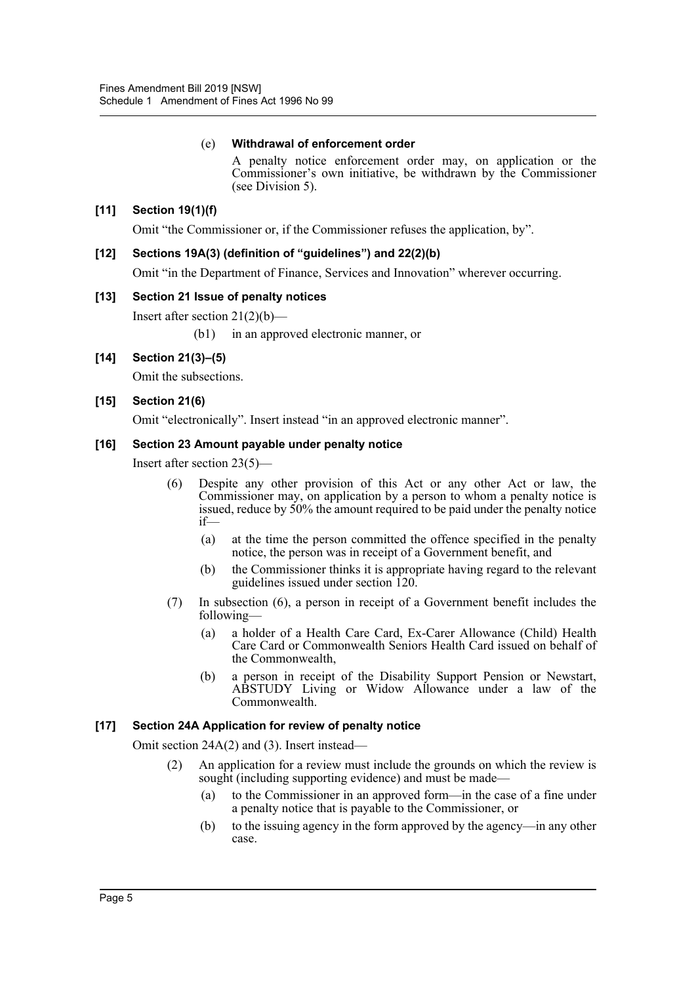## (e) **Withdrawal of enforcement order**

A penalty notice enforcement order may, on application or the Commissioner's own initiative, be withdrawn by the Commissioner (see Division 5).

# **[11] Section 19(1)(f)**

Omit "the Commissioner or, if the Commissioner refuses the application, by".

### **[12] Sections 19A(3) (definition of "guidelines") and 22(2)(b)**

Omit "in the Department of Finance, Services and Innovation" wherever occurring.

#### **[13] Section 21 Issue of penalty notices**

Insert after section  $21(2)(b)$ —

(b1) in an approved electronic manner, or

# **[14] Section 21(3)–(5)**

Omit the subsections.

#### **[15] Section 21(6)**

Omit "electronically". Insert instead "in an approved electronic manner".

#### **[16] Section 23 Amount payable under penalty notice**

Insert after section 23(5)—

- (6) Despite any other provision of this Act or any other Act or law, the Commissioner may, on application by a person to whom a penalty notice is issued, reduce by 50% the amount required to be paid under the penalty notice if—
	- (a) at the time the person committed the offence specified in the penalty notice, the person was in receipt of a Government benefit, and
	- (b) the Commissioner thinks it is appropriate having regard to the relevant guidelines issued under section 120.
- (7) In subsection (6), a person in receipt of a Government benefit includes the following—
	- (a) a holder of a Health Care Card, Ex-Carer Allowance (Child) Health Care Card or Commonwealth Seniors Health Card issued on behalf of the Commonwealth,
	- (b) a person in receipt of the Disability Support Pension or Newstart, ABSTUDY Living or Widow Allowance under a law of the Commonwealth.

#### **[17] Section 24A Application for review of penalty notice**

Omit section 24A(2) and (3). Insert instead—

- (2) An application for a review must include the grounds on which the review is sought (including supporting evidence) and must be made—
	- (a) to the Commissioner in an approved form—in the case of a fine under a penalty notice that is payable to the Commissioner, or
	- (b) to the issuing agency in the form approved by the agency—in any other case.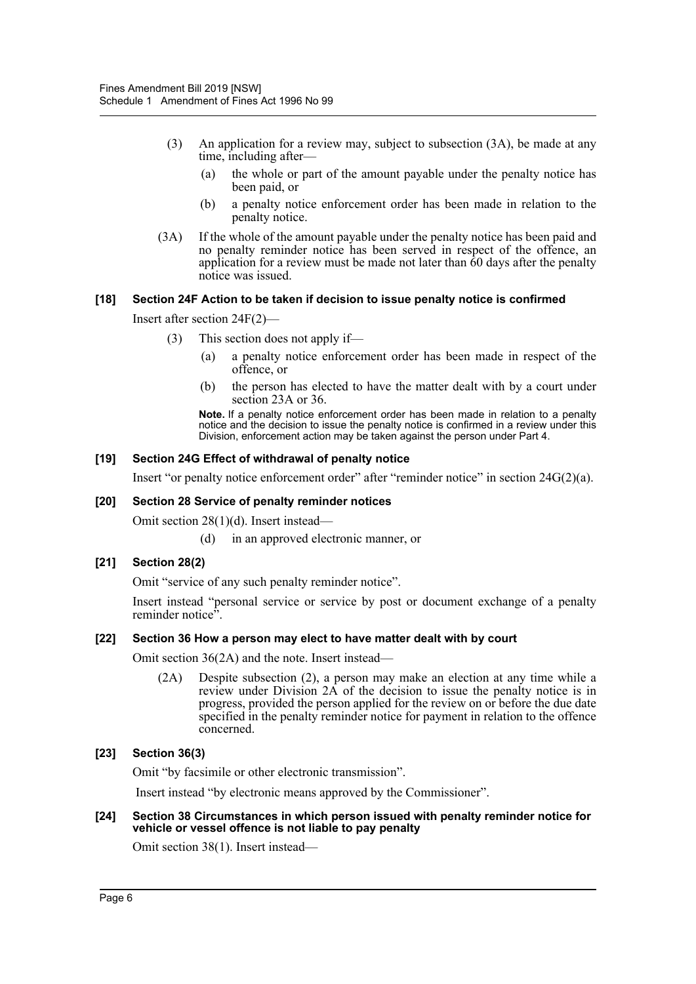- (3) An application for a review may, subject to subsection (3A), be made at any time, including after—
	- (a) the whole or part of the amount payable under the penalty notice has been paid, or
	- (b) a penalty notice enforcement order has been made in relation to the penalty notice.
- (3A) If the whole of the amount payable under the penalty notice has been paid and no penalty reminder notice has been served in respect of the offence, an application for a review must be made not later than  $\delta$ 0 days after the penalty notice was issued.

#### **[18] Section 24F Action to be taken if decision to issue penalty notice is confirmed**

Insert after section 24F(2)—

- (3) This section does not apply if—
	- (a) a penalty notice enforcement order has been made in respect of the offence, or
	- (b) the person has elected to have the matter dealt with by a court under section 23A or 36.

**Note.** If a penalty notice enforcement order has been made in relation to a penalty notice and the decision to issue the penalty notice is confirmed in a review under this Division, enforcement action may be taken against the person under Part 4.

#### **[19] Section 24G Effect of withdrawal of penalty notice**

Insert "or penalty notice enforcement order" after "reminder notice" in section 24G(2)(a).

#### **[20] Section 28 Service of penalty reminder notices**

Omit section 28(1)(d). Insert instead—

(d) in an approved electronic manner, or

#### **[21] Section 28(2)**

Omit "service of any such penalty reminder notice".

Insert instead "personal service or service by post or document exchange of a penalty reminder notice<sup>5</sup>.

#### **[22] Section 36 How a person may elect to have matter dealt with by court**

Omit section 36(2A) and the note. Insert instead—

(2A) Despite subsection (2), a person may make an election at any time while a review under Division 2A of the decision to issue the penalty notice is in progress, provided the person applied for the review on or before the due date specified in the penalty reminder notice for payment in relation to the offence concerned.

#### **[23] Section 36(3)**

Omit "by facsimile or other electronic transmission".

Insert instead "by electronic means approved by the Commissioner".

#### **[24] Section 38 Circumstances in which person issued with penalty reminder notice for vehicle or vessel offence is not liable to pay penalty**

Omit section 38(1). Insert instead—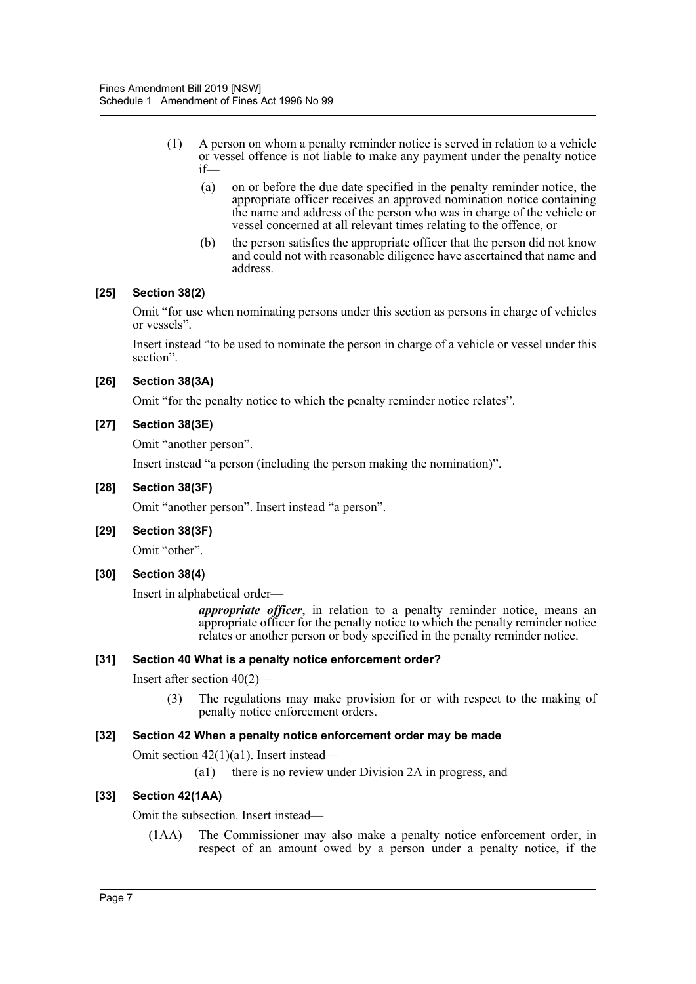- (1) A person on whom a penalty reminder notice is served in relation to a vehicle or vessel offence is not liable to make any payment under the penalty notice if—
	- (a) on or before the due date specified in the penalty reminder notice, the appropriate officer receives an approved nomination notice containing the name and address of the person who was in charge of the vehicle or vessel concerned at all relevant times relating to the offence, or
	- (b) the person satisfies the appropriate officer that the person did not know and could not with reasonable diligence have ascertained that name and address.

#### **[25] Section 38(2)**

Omit "for use when nominating persons under this section as persons in charge of vehicles or vessels".

Insert instead "to be used to nominate the person in charge of a vehicle or vessel under this section".

#### **[26] Section 38(3A)**

Omit "for the penalty notice to which the penalty reminder notice relates".

#### **[27] Section 38(3E)**

Omit "another person".

Insert instead "a person (including the person making the nomination)".

#### **[28] Section 38(3F)**

Omit "another person". Insert instead "a person".

#### **[29] Section 38(3F)**

Omit "other".

# **[30] Section 38(4)**

Insert in alphabetical order—

*appropriate officer*, in relation to a penalty reminder notice, means an appropriate officer for the penalty notice to which the penalty reminder notice relates or another person or body specified in the penalty reminder notice.

#### **[31] Section 40 What is a penalty notice enforcement order?**

Insert after section 40(2)—

(3) The regulations may make provision for or with respect to the making of penalty notice enforcement orders.

#### **[32] Section 42 When a penalty notice enforcement order may be made**

Omit section 42(1)(a1). Insert instead—

(a1) there is no review under Division 2A in progress, and

# **[33] Section 42(1AA)**

Omit the subsection. Insert instead—

(1AA) The Commissioner may also make a penalty notice enforcement order, in respect of an amount owed by a person under a penalty notice, if the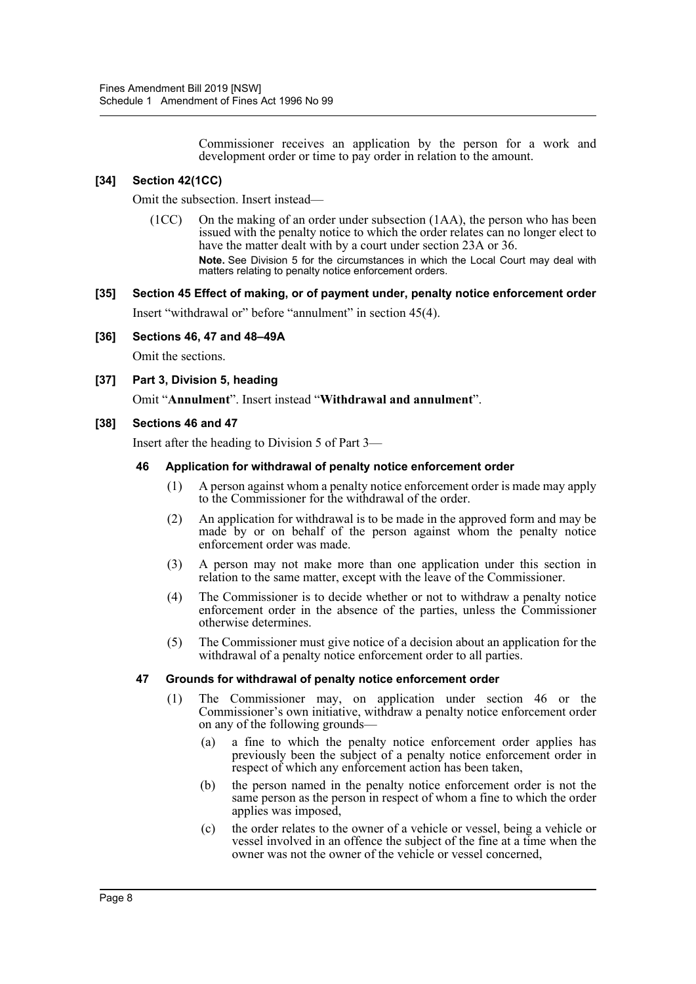Commissioner receives an application by the person for a work and development order or time to pay order in relation to the amount.

## **[34] Section 42(1CC)**

Omit the subsection. Insert instead—

(1CC) On the making of an order under subsection (1AA), the person who has been issued with the penalty notice to which the order relates can no longer elect to have the matter dealt with by a court under section 23A or 36. **Note.** See Division 5 for the circumstances in which the Local Court may deal with matters relating to penalty notice enforcement orders.

# **[35] Section 45 Effect of making, or of payment under, penalty notice enforcement order** Insert "withdrawal or" before "annulment" in section 45(4).

#### **[36] Sections 46, 47 and 48–49A**

Omit the sections.

#### **[37] Part 3, Division 5, heading**

Omit "**Annulment**". Insert instead "**Withdrawal and annulment**".

#### **[38] Sections 46 and 47**

Insert after the heading to Division 5 of Part 3—

#### **46 Application for withdrawal of penalty notice enforcement order**

- (1) A person against whom a penalty notice enforcement order is made may apply to the Commissioner for the withdrawal of the order.
- (2) An application for withdrawal is to be made in the approved form and may be made by or on behalf of the person against whom the penalty notice enforcement order was made.
- (3) A person may not make more than one application under this section in relation to the same matter, except with the leave of the Commissioner.
- (4) The Commissioner is to decide whether or not to withdraw a penalty notice enforcement order in the absence of the parties, unless the Commissioner otherwise determines.
- (5) The Commissioner must give notice of a decision about an application for the withdrawal of a penalty notice enforcement order to all parties.

#### **47 Grounds for withdrawal of penalty notice enforcement order**

- (1) The Commissioner may, on application under section 46 or the Commissioner's own initiative, withdraw a penalty notice enforcement order on any of the following grounds—
	- (a) a fine to which the penalty notice enforcement order applies has previously been the subject of a penalty notice enforcement order in respect of which any enforcement action has been taken,
	- (b) the person named in the penalty notice enforcement order is not the same person as the person in respect of whom a fine to which the order applies was imposed,
	- (c) the order relates to the owner of a vehicle or vessel, being a vehicle or vessel involved in an offence the subject of the fine at a time when the owner was not the owner of the vehicle or vessel concerned,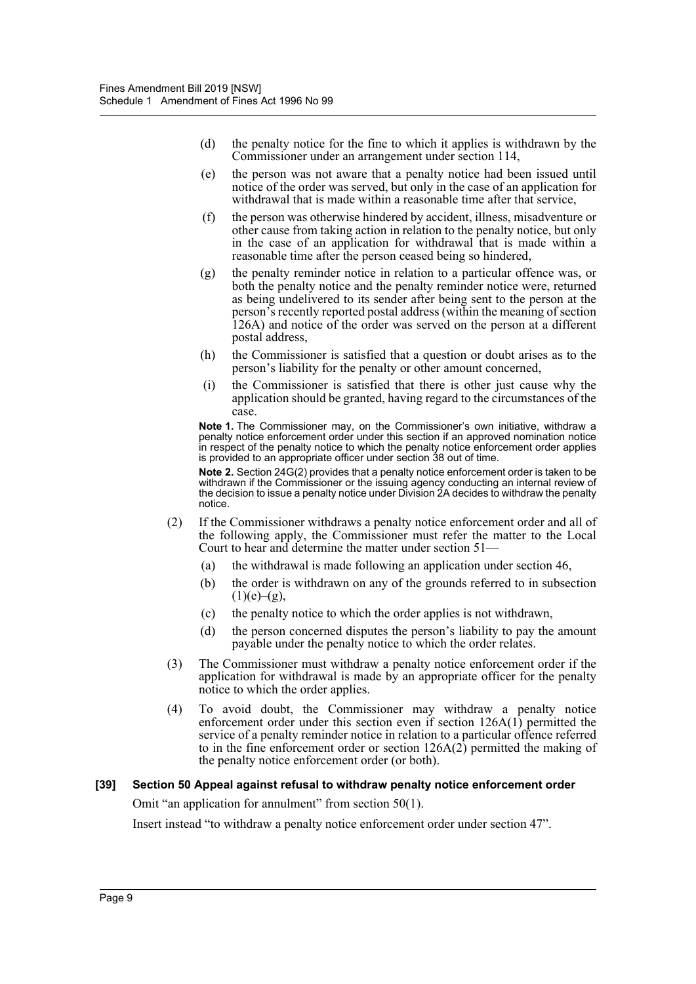- (d) the penalty notice for the fine to which it applies is withdrawn by the Commissioner under an arrangement under section 114,
- (e) the person was not aware that a penalty notice had been issued until notice of the order was served, but only in the case of an application for withdrawal that is made within a reasonable time after that service,
- (f) the person was otherwise hindered by accident, illness, misadventure or other cause from taking action in relation to the penalty notice, but only in the case of an application for withdrawal that is made within a reasonable time after the person ceased being so hindered,
- (g) the penalty reminder notice in relation to a particular offence was, or both the penalty notice and the penalty reminder notice were, returned as being undelivered to its sender after being sent to the person at the person's recently reported postal address (within the meaning of section 126A) and notice of the order was served on the person at a different postal address,
- (h) the Commissioner is satisfied that a question or doubt arises as to the person's liability for the penalty or other amount concerned,
- (i) the Commissioner is satisfied that there is other just cause why the application should be granted, having regard to the circumstances of the case.

**Note 1.** The Commissioner may, on the Commissioner's own initiative, withdraw a penalty notice enforcement order under this section if an approved nomination notice in respect of the penalty notice to which the penalty notice enforcement order applies is provided to an appropriate officer under section 38 out of time.

**Note 2.** Section 24G(2) provides that a penalty notice enforcement order is taken to be withdrawn if the Commissioner or the issuing agency conducting an internal review of the decision to issue a penalty notice under Division 2A decides to withdraw the penalty notice.

- (2) If the Commissioner withdraws a penalty notice enforcement order and all of the following apply, the Commissioner must refer the matter to the Local Court to hear and determine the matter under section 51—
	- (a) the withdrawal is made following an application under section 46,
	- (b) the order is withdrawn on any of the grounds referred to in subsection  $(1)(e)–(g),$
	- (c) the penalty notice to which the order applies is not withdrawn,
	- (d) the person concerned disputes the person's liability to pay the amount payable under the penalty notice to which the order relates.
- (3) The Commissioner must withdraw a penalty notice enforcement order if the application for withdrawal is made by an appropriate officer for the penalty notice to which the order applies.
- (4) To avoid doubt, the Commissioner may withdraw a penalty notice enforcement order under this section even if section  $126A(1)$  permitted the service of a penalty reminder notice in relation to a particular offence referred to in the fine enforcement order or section  $126A(2)$  permitted the making of the penalty notice enforcement order (or both).

#### **[39] Section 50 Appeal against refusal to withdraw penalty notice enforcement order**

Omit "an application for annulment" from section 50(1).

Insert instead "to withdraw a penalty notice enforcement order under section 47".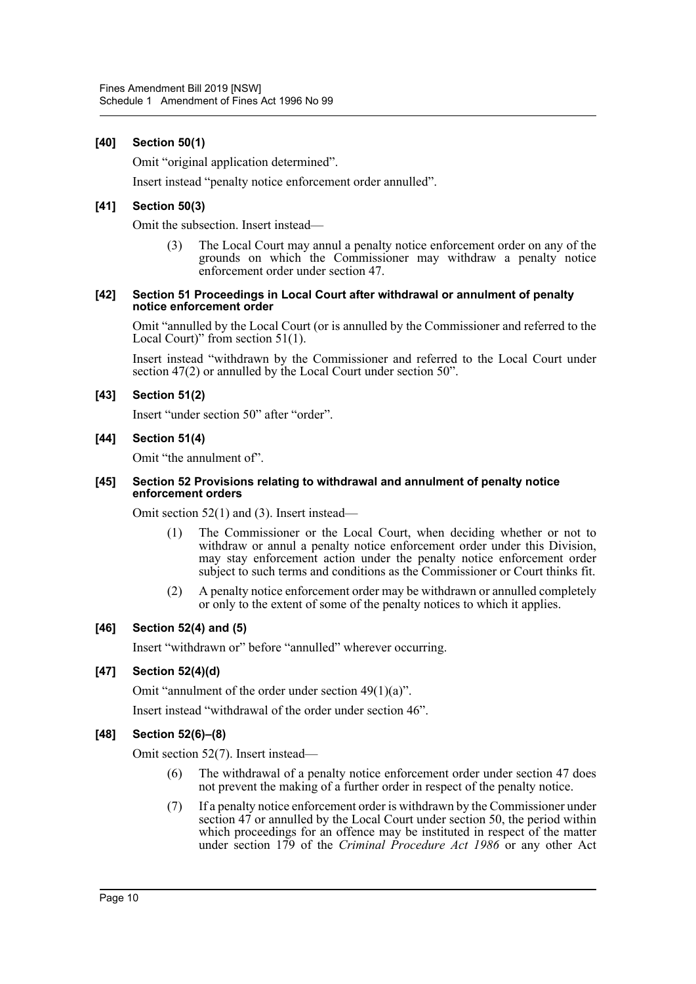#### **[40] Section 50(1)**

Omit "original application determined".

Insert instead "penalty notice enforcement order annulled".

#### **[41] Section 50(3)**

Omit the subsection. Insert instead—

The Local Court may annul a penalty notice enforcement order on any of the grounds on which the Commissioner may withdraw a penalty notice enforcement order under section 47.

#### **[42] Section 51 Proceedings in Local Court after withdrawal or annulment of penalty notice enforcement order**

Omit "annulled by the Local Court (or is annulled by the Commissioner and referred to the Local Court)" from section 51(1).

Insert instead "withdrawn by the Commissioner and referred to the Local Court under section 47(2) or annulled by the Local Court under section 50".

#### **[43] Section 51(2)**

Insert "under section 50" after "order".

#### **[44] Section 51(4)**

Omit "the annulment of".

#### **[45] Section 52 Provisions relating to withdrawal and annulment of penalty notice enforcement orders**

Omit section 52(1) and (3). Insert instead—

- (1) The Commissioner or the Local Court, when deciding whether or not to withdraw or annul a penalty notice enforcement order under this Division, may stay enforcement action under the penalty notice enforcement order subject to such terms and conditions as the Commissioner or Court thinks fit.
- (2) A penalty notice enforcement order may be withdrawn or annulled completely or only to the extent of some of the penalty notices to which it applies.

#### **[46] Section 52(4) and (5)**

Insert "withdrawn or" before "annulled" wherever occurring.

## **[47] Section 52(4)(d)**

Omit "annulment of the order under section 49(1)(a)".

Insert instead "withdrawal of the order under section 46".

# **[48] Section 52(6)–(8)**

Omit section 52(7). Insert instead—

- (6) The withdrawal of a penalty notice enforcement order under section 47 does not prevent the making of a further order in respect of the penalty notice.
- (7) If a penalty notice enforcement order is withdrawn by the Commissioner under section 47 or annulled by the Local Court under section 50, the period within which proceedings for an offence may be instituted in respect of the matter under section 179 of the *Criminal Procedure Act 1986* or any other Act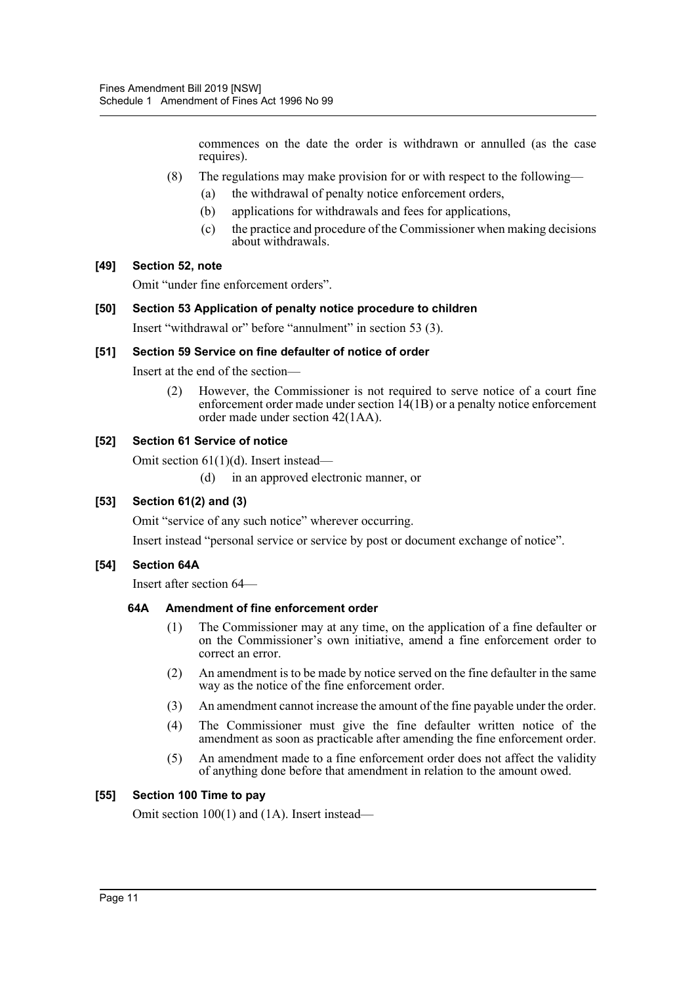commences on the date the order is withdrawn or annulled (as the case requires).

- (8) The regulations may make provision for or with respect to the following—
	- (a) the withdrawal of penalty notice enforcement orders,
	- (b) applications for withdrawals and fees for applications,
	- (c) the practice and procedure of the Commissioner when making decisions about withdrawals.

#### **[49] Section 52, note**

Omit "under fine enforcement orders".

#### **[50] Section 53 Application of penalty notice procedure to children**

Insert "withdrawal or" before "annulment" in section 53 (3).

#### **[51] Section 59 Service on fine defaulter of notice of order**

Insert at the end of the section—

(2) However, the Commissioner is not required to serve notice of a court fine enforcement order made under section  $14(1B)$  or a penalty notice enforcement order made under section 42(1AA).

#### **[52] Section 61 Service of notice**

Omit section 61(1)(d). Insert instead—

(d) in an approved electronic manner, or

#### **[53] Section 61(2) and (3)**

Omit "service of any such notice" wherever occurring.

Insert instead "personal service or service by post or document exchange of notice".

#### **[54] Section 64A**

Insert after section 64—

#### **64A Amendment of fine enforcement order**

- (1) The Commissioner may at any time, on the application of a fine defaulter or on the Commissioner's own initiative, amend a fine enforcement order to correct an error.
- (2) An amendment is to be made by notice served on the fine defaulter in the same way as the notice of the fine enforcement order.
- (3) An amendment cannot increase the amount of the fine payable under the order.
- (4) The Commissioner must give the fine defaulter written notice of the amendment as soon as practicable after amending the fine enforcement order.
- (5) An amendment made to a fine enforcement order does not affect the validity of anything done before that amendment in relation to the amount owed.

#### **[55] Section 100 Time to pay**

Omit section 100(1) and (1A). Insert instead—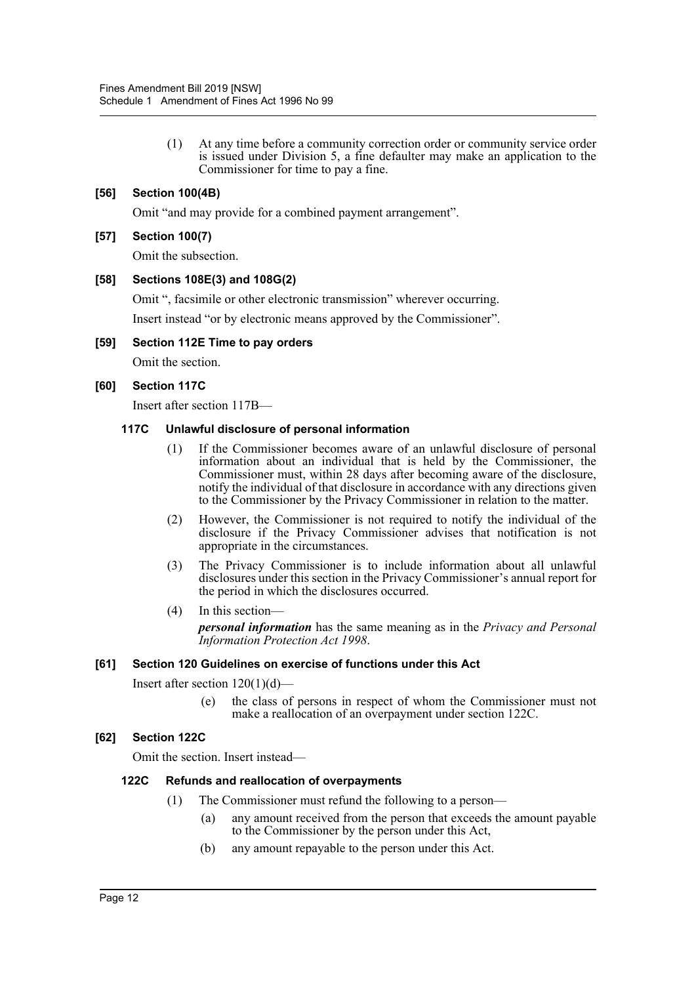(1) At any time before a community correction order or community service order is issued under Division 5, a fine defaulter may make an application to the Commissioner for time to pay a fine.

# **[56] Section 100(4B)**

Omit "and may provide for a combined payment arrangement".

#### **[57] Section 100(7)**

Omit the subsection.

#### **[58] Sections 108E(3) and 108G(2)**

Omit ", facsimile or other electronic transmission" wherever occurring.

Insert instead "or by electronic means approved by the Commissioner".

#### **[59] Section 112E Time to pay orders**

Omit the section.

#### **[60] Section 117C**

Insert after section 117B—

#### **117C Unlawful disclosure of personal information**

- (1) If the Commissioner becomes aware of an unlawful disclosure of personal information about an individual that is held by the Commissioner, the Commissioner must, within 28 days after becoming aware of the disclosure, notify the individual of that disclosure in accordance with any directions given to the Commissioner by the Privacy Commissioner in relation to the matter.
- (2) However, the Commissioner is not required to notify the individual of the disclosure if the Privacy Commissioner advises that notification is not appropriate in the circumstances.
- (3) The Privacy Commissioner is to include information about all unlawful disclosures under this section in the Privacy Commissioner's annual report for the period in which the disclosures occurred.
- (4) In this section *personal information* has the same meaning as in the *Privacy and Personal Information Protection Act 1998*.

#### **[61] Section 120 Guidelines on exercise of functions under this Act**

Insert after section  $120(1)(d)$ —

(e) the class of persons in respect of whom the Commissioner must not make a reallocation of an overpayment under section 122C.

#### **[62] Section 122C**

Omit the section. Insert instead—

#### **122C Refunds and reallocation of overpayments**

- (1) The Commissioner must refund the following to a person—
	- (a) any amount received from the person that exceeds the amount payable to the Commissioner by the person under this Act,
	- (b) any amount repayable to the person under this Act.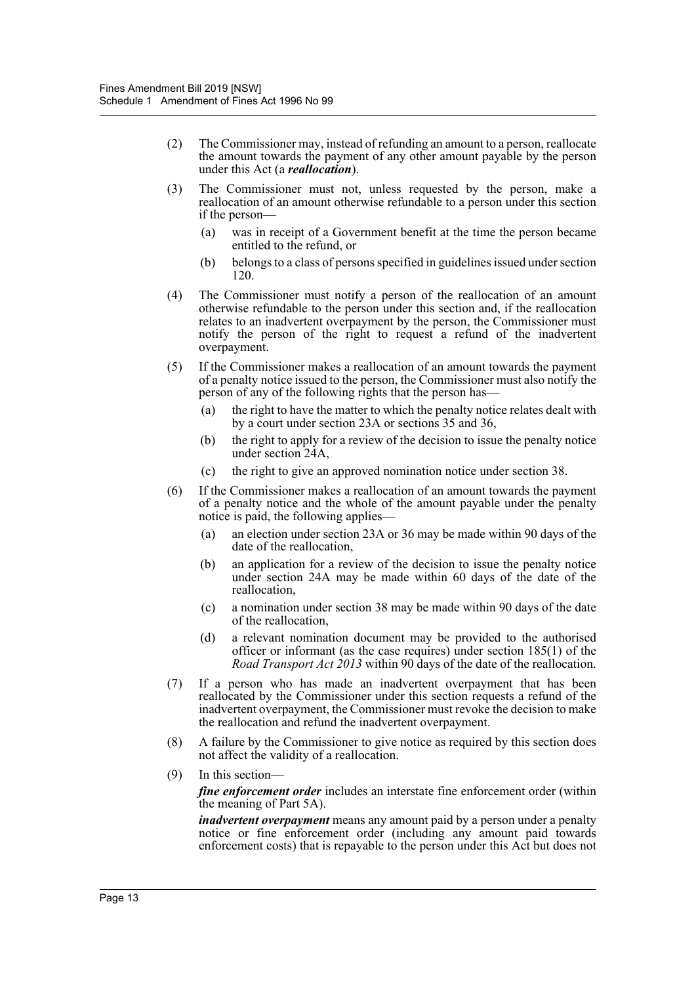- (2) The Commissioner may, instead of refunding an amount to a person, reallocate the amount towards the payment of any other amount payable by the person under this Act (a *reallocation*).
- (3) The Commissioner must not, unless requested by the person, make a reallocation of an amount otherwise refundable to a person under this section if the person—
	- (a) was in receipt of a Government benefit at the time the person became entitled to the refund, or
	- (b) belongs to a class of persons specified in guidelines issued under section 120.
- (4) The Commissioner must notify a person of the reallocation of an amount otherwise refundable to the person under this section and, if the reallocation relates to an inadvertent overpayment by the person, the Commissioner must notify the person of the right to request a refund of the inadvertent overpayment.
- (5) If the Commissioner makes a reallocation of an amount towards the payment of a penalty notice issued to the person, the Commissioner must also notify the person of any of the following rights that the person has—
	- (a) the right to have the matter to which the penalty notice relates dealt with by a court under section 23A or sections 35 and 36,
	- (b) the right to apply for a review of the decision to issue the penalty notice under section 24A,
	- (c) the right to give an approved nomination notice under section 38.
- (6) If the Commissioner makes a reallocation of an amount towards the payment of a penalty notice and the whole of the amount payable under the penalty notice is paid, the following applies—
	- (a) an election under section 23A or 36 may be made within 90 days of the date of the reallocation,
	- (b) an application for a review of the decision to issue the penalty notice under section 24A may be made within 60 days of the date of the reallocation,
	- (c) a nomination under section 38 may be made within 90 days of the date of the reallocation,
	- (d) a relevant nomination document may be provided to the authorised officer or informant (as the case requires) under section 185(1) of the *Road Transport Act 2013* within 90 days of the date of the reallocation.
- (7) If a person who has made an inadvertent overpayment that has been reallocated by the Commissioner under this section requests a refund of the inadvertent overpayment, the Commissioner must revoke the decision to make the reallocation and refund the inadvertent overpayment.
- (8) A failure by the Commissioner to give notice as required by this section does not affect the validity of a reallocation.
- (9) In this section—

*fine enforcement order* includes an interstate fine enforcement order (within the meaning of Part 5A).

*inadvertent overpayment* means any amount paid by a person under a penalty notice or fine enforcement order (including any amount paid towards enforcement costs) that is repayable to the person under this Act but does not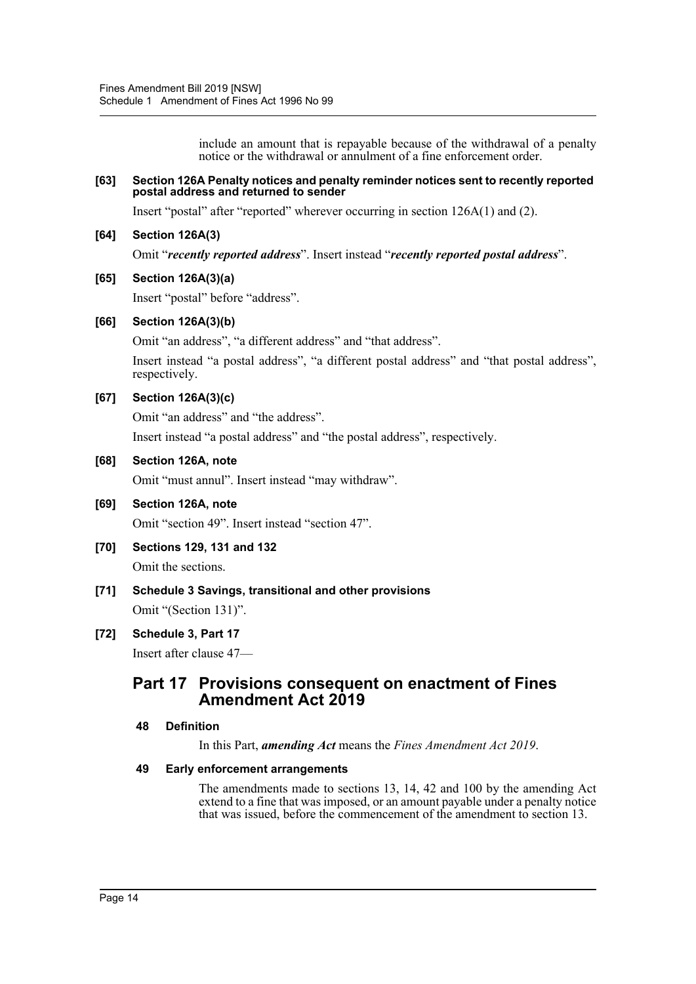include an amount that is repayable because of the withdrawal of a penalty notice or the withdrawal or annulment of a fine enforcement order.

#### **[63] Section 126A Penalty notices and penalty reminder notices sent to recently reported postal address and returned to sender**

Insert "postal" after "reported" wherever occurring in section 126A(1) and (2).

#### **[64] Section 126A(3)**

Omit "*recently reported address*". Insert instead "*recently reported postal address*".

#### **[65] Section 126A(3)(a)**

Insert "postal" before "address".

#### **[66] Section 126A(3)(b)**

Omit "an address", "a different address" and "that address".

Insert instead "a postal address", "a different postal address" and "that postal address", respectively.

#### **[67] Section 126A(3)(c)**

Omit "an address" and "the address".

Insert instead "a postal address" and "the postal address", respectively.

#### **[68] Section 126A, note**

Omit "must annul". Insert instead "may withdraw".

# **[69] Section 126A, note**

Omit "section 49". Insert instead "section 47".

- **[70] Sections 129, 131 and 132** Omit the sections.
- **[71] Schedule 3 Savings, transitional and other provisions** Omit "(Section 131)".

# **[72] Schedule 3, Part 17** Insert after clause 47—

# **Part 17 Provisions consequent on enactment of Fines Amendment Act 2019**

#### **48 Definition**

In this Part, *amending Act* means the *Fines Amendment Act 2019*.

#### **49 Early enforcement arrangements**

The amendments made to sections 13, 14, 42 and 100 by the amending Act extend to a fine that was imposed, or an amount payable under a penalty notice that was issued, before the commencement of the amendment to section 13.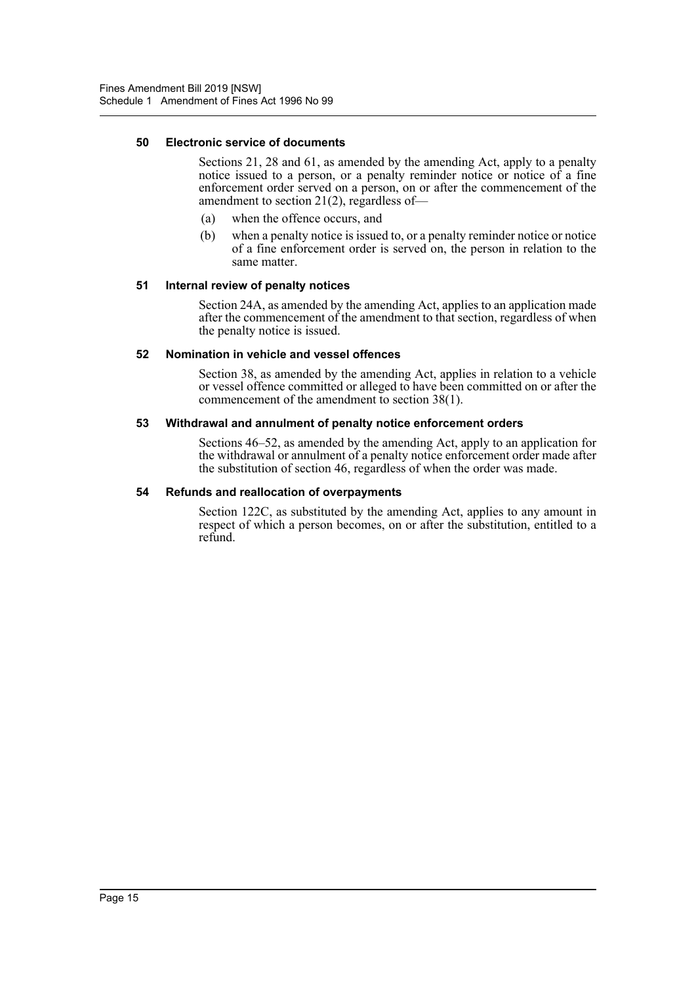#### **50 Electronic service of documents**

Sections 21, 28 and 61, as amended by the amending Act, apply to a penalty notice issued to a person, or a penalty reminder notice or notice of a fine enforcement order served on a person, on or after the commencement of the amendment to section 21(2), regardless of—

- (a) when the offence occurs, and
- (b) when a penalty notice is issued to, or a penalty reminder notice or notice of a fine enforcement order is served on, the person in relation to the same matter.

#### **51 Internal review of penalty notices**

Section 24A, as amended by the amending Act, applies to an application made after the commencement of the amendment to that section, regardless of when the penalty notice is issued.

#### **52 Nomination in vehicle and vessel offences**

Section 38, as amended by the amending Act, applies in relation to a vehicle or vessel offence committed or alleged to have been committed on or after the commencement of the amendment to section 38(1).

#### **53 Withdrawal and annulment of penalty notice enforcement orders**

Sections 46–52, as amended by the amending Act, apply to an application for the withdrawal or annulment of a penalty notice enforcement order made after the substitution of section 46, regardless of when the order was made.

#### **54 Refunds and reallocation of overpayments**

Section 122C, as substituted by the amending Act, applies to any amount in respect of which a person becomes, on or after the substitution, entitled to a refund.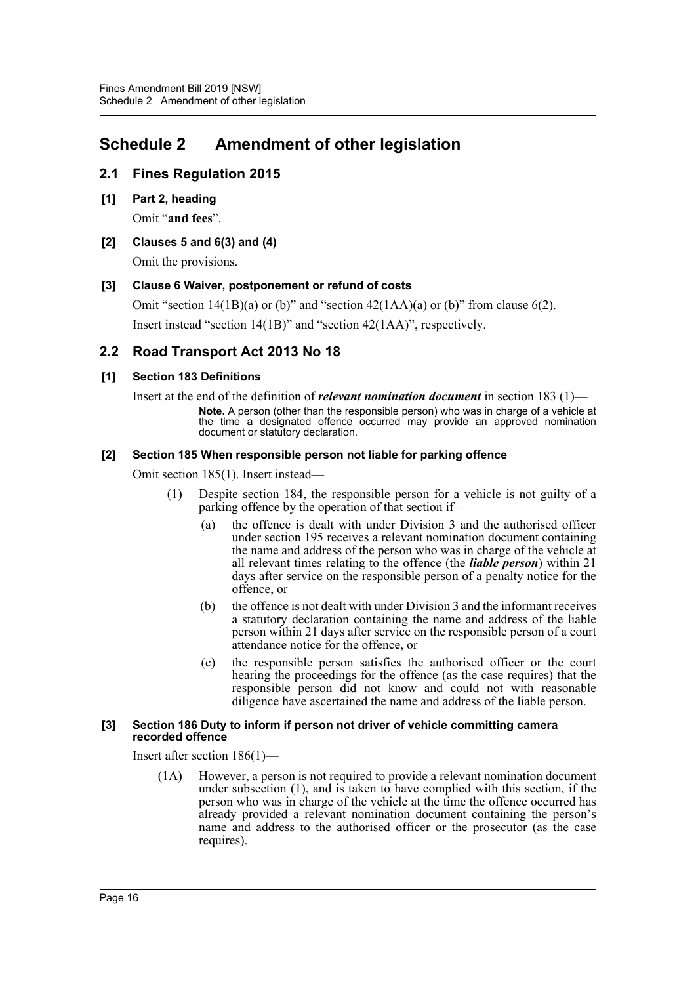# <span id="page-16-0"></span>**Schedule 2 Amendment of other legislation**

# **2.1 Fines Regulation 2015**

- **[1] Part 2, heading** Omit "**and fees**".
- **[2] Clauses 5 and 6(3) and (4)** Omit the provisions.

# **[3] Clause 6 Waiver, postponement or refund of costs**

Omit "section  $14(1B)(a)$  or (b)" and "section  $42(1AA)(a)$  or (b)" from clause 6(2). Insert instead "section 14(1B)" and "section 42(1AA)", respectively.

# **2.2 Road Transport Act 2013 No 18**

# **[1] Section 183 Definitions**

Insert at the end of the definition of *relevant nomination document* in section 183 (1)— **Note.** A person (other than the responsible person) who was in charge of a vehicle at the time a designated offence occurred may provide an approved nomination document or statutory declaration.

#### **[2] Section 185 When responsible person not liable for parking offence**

Omit section 185(1). Insert instead—

- (1) Despite section 184, the responsible person for a vehicle is not guilty of a parking offence by the operation of that section if—
	- (a) the offence is dealt with under Division 3 and the authorised officer under section 195 receives a relevant nomination document containing the name and address of the person who was in charge of the vehicle at all relevant times relating to the offence (the *liable person*) within 21 days after service on the responsible person of a penalty notice for the offence, or
	- (b) the offence is not dealt with under Division 3 and the informant receives a statutory declaration containing the name and address of the liable person within 21 days after service on the responsible person of a court attendance notice for the offence, or
	- (c) the responsible person satisfies the authorised officer or the court hearing the proceedings for the offence (as the case requires) that the responsible person did not know and could not with reasonable diligence have ascertained the name and address of the liable person.

#### **[3] Section 186 Duty to inform if person not driver of vehicle committing camera recorded offence**

Insert after section 186(1)—

(1A) However, a person is not required to provide a relevant nomination document under subsection  $(1)$ , and is taken to have complied with this section, if the person who was in charge of the vehicle at the time the offence occurred has already provided a relevant nomination document containing the person's name and address to the authorised officer or the prosecutor (as the case requires).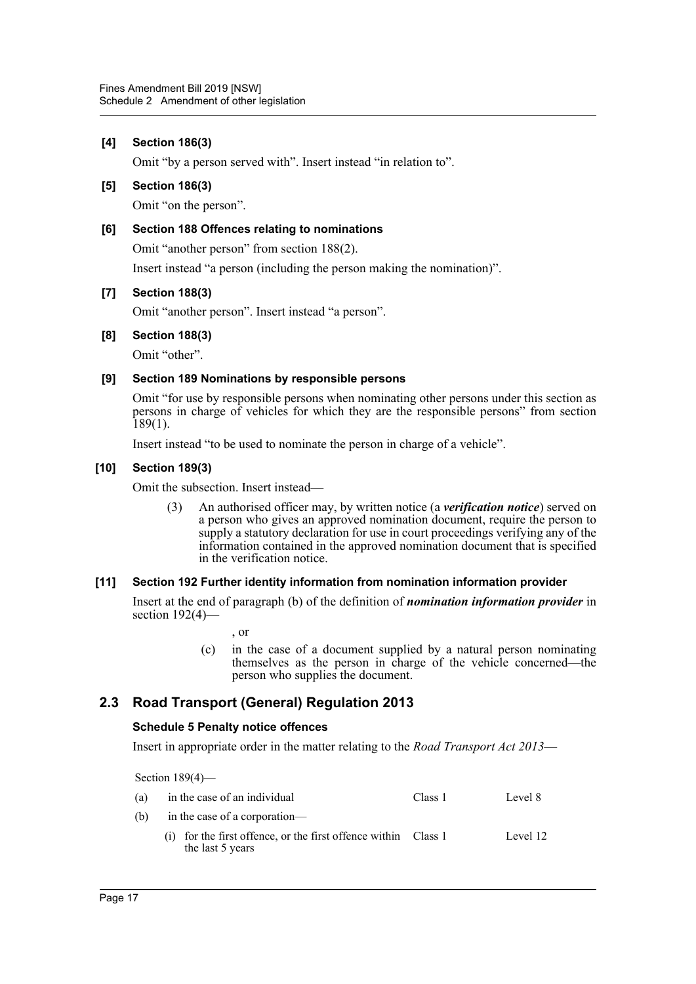#### **[4] Section 186(3)**

Omit "by a person served with". Insert instead "in relation to".

#### **[5] Section 186(3)**

Omit "on the person".

#### **[6] Section 188 Offences relating to nominations**

Omit "another person" from section 188(2).

Insert instead "a person (including the person making the nomination)".

#### **[7] Section 188(3)**

Omit "another person". Insert instead "a person".

#### **[8] Section 188(3)**

Omit "other".

#### **[9] Section 189 Nominations by responsible persons**

Omit "for use by responsible persons when nominating other persons under this section as persons in charge of vehicles for which they are the responsible persons" from section  $189(1)$ .

Insert instead "to be used to nominate the person in charge of a vehicle".

#### **[10] Section 189(3)**

Omit the subsection. Insert instead—

(3) An authorised officer may, by written notice (a *verification notice*) served on a person who gives an approved nomination document, require the person to supply a statutory declaration for use in court proceedings verifying any of the information contained in the approved nomination document that is specified in the verification notice.

#### **[11] Section 192 Further identity information from nomination information provider**

Insert at the end of paragraph (b) of the definition of *nomination information provider* in section 192(4)-

, or

(c) in the case of a document supplied by a natural person nominating themselves as the person in charge of the vehicle concerned—the person who supplies the document.

# **2.3 Road Transport (General) Regulation 2013**

#### **Schedule 5 Penalty notice offences**

Insert in appropriate order in the matter relating to the *Road Transport Act 2013*—

Section 189(4)—

| (a) | in the case of an individual                                                         | Class 1 | Level 8  |  |  |
|-----|--------------------------------------------------------------------------------------|---------|----------|--|--|
| (b) | in the case of a corporation—                                                        |         |          |  |  |
|     | $(i)$ for the first offence, or the first offence within Class 1<br>the last 5 years |         | Level 12 |  |  |